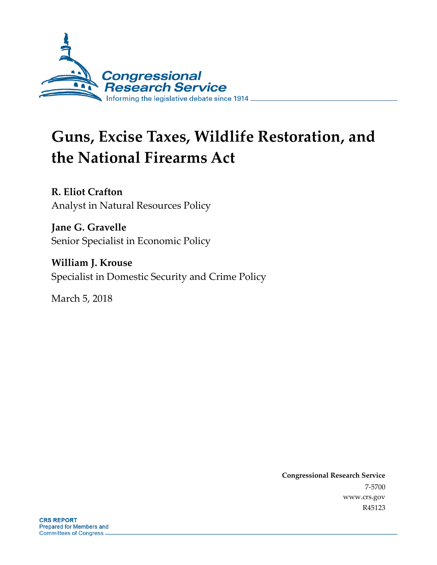

# **Guns, Excise Taxes, Wildlife Restoration, and the National Firearms Act**

**R. Eliot Crafton** Analyst in Natural Resources Policy

**Jane G. Gravelle** Senior Specialist in Economic Policy

**William J. Krouse** Specialist in Domestic Security and Crime Policy

March 5, 2018

**Congressional Research Service** 7-5700 www.crs.gov R45123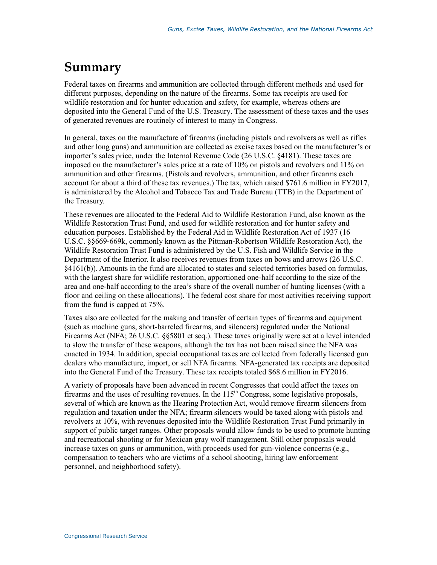### **Summary**

Federal taxes on firearms and ammunition are collected through different methods and used for different purposes, depending on the nature of the firearms. Some tax receipts are used for wildlife restoration and for hunter education and safety, for example, whereas others are deposited into the General Fund of the U.S. Treasury. The assessment of these taxes and the uses of generated revenues are routinely of interest to many in Congress.

In general, taxes on the manufacture of firearms (including pistols and revolvers as well as rifles and other long guns) and ammunition are collected as excise taxes based on the manufacturer's or importer's sales price, under the Internal Revenue Code (26 U.S.C. §4181). These taxes are imposed on the manufacturer's sales price at a rate of 10% on pistols and revolvers and 11% on ammunition and other firearms. (Pistols and revolvers, ammunition, and other firearms each account for about a third of these tax revenues.) The tax, which raised \$761.6 million in FY2017, is administered by the Alcohol and Tobacco Tax and Trade Bureau (TTB) in the Department of the Treasury.

These revenues are allocated to the Federal Aid to Wildlife Restoration Fund, also known as the Wildlife Restoration Trust Fund, and used for wildlife restoration and for hunter safety and education purposes. Established by the Federal Aid in Wildlife Restoration Act of 1937 (16 U.S.C. §§669-669k, commonly known as the Pittman-Robertson Wildlife Restoration Act), the Wildlife Restoration Trust Fund is administered by the U.S. Fish and Wildlife Service in the Department of the Interior. It also receives revenues from taxes on bows and arrows (26 U.S.C. §4161(b)). Amounts in the fund are allocated to states and selected territories based on formulas, with the largest share for wildlife restoration, apportioned one-half according to the size of the area and one-half according to the area's share of the overall number of hunting licenses (with a floor and ceiling on these allocations). The federal cost share for most activities receiving support from the fund is capped at 75%.

Taxes also are collected for the making and transfer of certain types of firearms and equipment (such as machine guns, short-barreled firearms, and silencers) regulated under the National Firearms Act (NFA; 26 U.S.C. §§5801 et seq.). These taxes originally were set at a level intended to slow the transfer of these weapons, although the tax has not been raised since the NFA was enacted in 1934. In addition, special occupational taxes are collected from federally licensed gun dealers who manufacture, import, or sell NFA firearms. NFA-generated tax receipts are deposited into the General Fund of the Treasury. These tax receipts totaled \$68.6 million in FY2016.

A variety of proposals have been advanced in recent Congresses that could affect the taxes on firearms and the uses of resulting revenues. In the  $115<sup>th</sup>$  Congress, some legislative proposals, several of which are known as the Hearing Protection Act, would remove firearm silencers from regulation and taxation under the NFA; firearm silencers would be taxed along with pistols and revolvers at 10%, with revenues deposited into the Wildlife Restoration Trust Fund primarily in support of public target ranges. Other proposals would allow funds to be used to promote hunting and recreational shooting or for Mexican gray wolf management. Still other proposals would increase taxes on guns or ammunition, with proceeds used for gun-violence concerns (e.g., compensation to teachers who are victims of a school shooting, hiring law enforcement personnel, and neighborhood safety).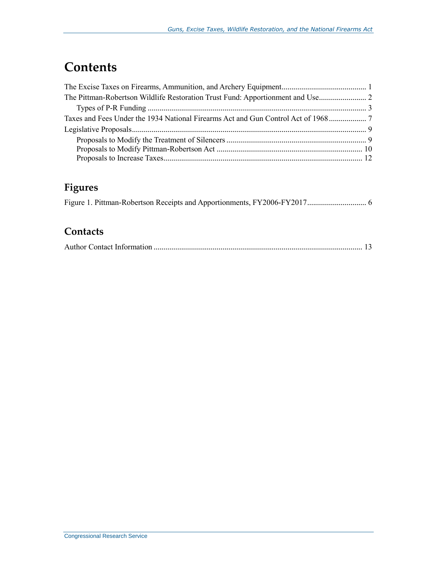### **Contents**

### **Figures**

#### **Contacts**

|--|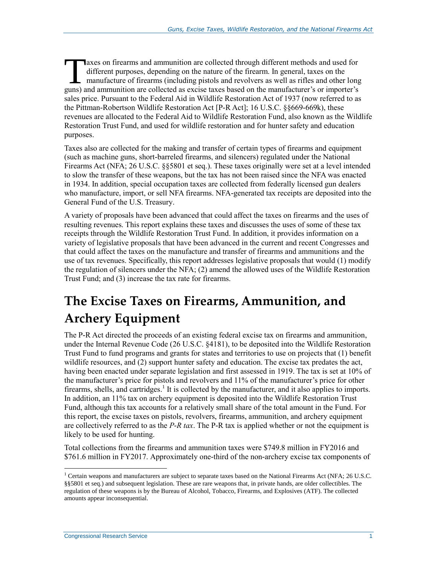axes on firearms and ammunition are collected through different methods and used for different purposes, depending on the nature of the firearm. In general, taxes on the manufacture of firearms (including pistols and revolvers as well as rifles and other long The axes on firearms and ammunition are collected through different methods and used for different purposes, depending on the nature of the firearm. In general, taxes on the manufacture of firearms (including pistols and r sales price. Pursuant to the Federal Aid in Wildlife Restoration Act of 1937 (now referred to as the Pittman-Robertson Wildlife Restoration Act [P-R Act]; 16 U.S.C. §§669-669k), these revenues are allocated to the Federal Aid to Wildlife Restoration Fund, also known as the Wildlife Restoration Trust Fund, and used for wildlife restoration and for hunter safety and education purposes.

Taxes also are collected for the making and transfer of certain types of firearms and equipment (such as machine guns, short-barreled firearms, and silencers) regulated under the National Firearms Act (NFA; 26 U.S.C. §§5801 et seq.). These taxes originally were set at a level intended to slow the transfer of these weapons, but the tax has not been raised since the NFA was enacted in 1934. In addition, special occupation taxes are collected from federally licensed gun dealers who manufacture, import, or sell NFA firearms. NFA-generated tax receipts are deposited into the General Fund of the U.S. Treasury.

A variety of proposals have been advanced that could affect the taxes on firearms and the uses of resulting revenues. This report explains these taxes and discusses the uses of some of these tax receipts through the Wildlife Restoration Trust Fund. In addition, it provides information on a variety of legislative proposals that have been advanced in the current and recent Congresses and that could affect the taxes on the manufacture and transfer of firearms and ammunitions and the use of tax revenues. Specifically, this report addresses legislative proposals that would (1) modify the regulation of silencers under the NFA; (2) amend the allowed uses of the Wildlife Restoration Trust Fund; and (3) increase the tax rate for firearms.

# <span id="page-3-0"></span>**The Excise Taxes on Firearms, Ammunition, and Archery Equipment**

The P-R Act directed the proceeds of an existing federal excise tax on firearms and ammunition, under the Internal Revenue Code (26 U.S.C. §4181), to be deposited into the Wildlife Restoration Trust Fund to fund programs and grants for states and territories to use on projects that (1) benefit wildlife resources, and (2) support hunter safety and education. The excise tax predates the act, having been enacted under separate legislation and first assessed in 1919. The tax is set at 10% of the manufacturer's price for pistols and revolvers and 11% of the manufacturer's price for other firearms, shells, and cartridges.<sup>1</sup> It is collected by the manufacturer, and it also applies to imports. In addition, an 11% tax on archery equipment is deposited into the Wildlife Restoration Trust Fund, although this tax accounts for a relatively small share of the total amount in the Fund. For this report, the excise taxes on pistols, revolvers, firearms, ammunition, and archery equipment are collectively referred to as the *P-R tax*. The P-R tax is applied whether or not the equipment is likely to be used for hunting.

Total collections from the firearms and ammunition taxes were \$749.8 million in FY2016 and \$761.6 million in FY2017. Approximately one-third of the non-archery excise tax components of

<sup>1</sup> Certain weapons and manufacturers are subject to separate taxes based on the National Firearms Act (NFA; 26 U.S.C. §§5801 et seq.) and subsequent legislation. These are rare weapons that, in private hands, are older collectibles. The regulation of these weapons is by the Bureau of Alcohol, Tobacco, Firearms, and Explosives (ATF). The collected amounts appear inconsequential.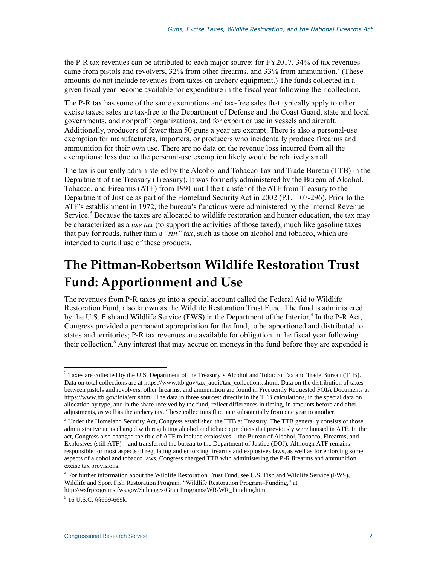the P-R tax revenues can be attributed to each major source: for FY2017, 34% of tax revenues came from pistols and revolvers, 32% from other firearms, and 33% from ammunition.<sup>2</sup> (These amounts do not include revenues from taxes on archery equipment.) The funds collected in a given fiscal year become available for expenditure in the fiscal year following their collection.

The P-R tax has some of the same exemptions and tax-free sales that typically apply to other excise taxes: sales are tax-free to the Department of Defense and the Coast Guard, state and local governments, and nonprofit organizations, and for export or use in vessels and aircraft. Additionally, producers of fewer than 50 guns a year are exempt. There is also a personal-use exemption for manufacturers, importers, or producers who incidentally produce firearms and ammunition for their own use. There are no data on the revenue loss incurred from all the exemptions; loss due to the personal-use exemption likely would be relatively small.

The tax is currently administered by the Alcohol and Tobacco Tax and Trade Bureau (TTB) in the Department of the Treasury (Treasury). It was formerly administered by the Bureau of Alcohol, Tobacco, and Firearms (ATF) from 1991 until the transfer of the ATF from Treasury to the Department of Justice as part of the Homeland Security Act in 2002 (P.L. 107-296). Prior to the ATF's establishment in 1972, the bureau's functions were administered by the Internal Revenue Service.<sup>3</sup> Because the taxes are allocated to wildlife restoration and hunter education, the tax may be characterized as a *use tax* (to support the activities of those taxed), much like gasoline taxes that pay for roads, rather than a "*sin" tax*, such as those on alcohol and tobacco, which are intended to curtail use of these products.

### <span id="page-4-0"></span>**The Pittman-Robertson Wildlife Restoration Trust Fund: Apportionment and Use**

The revenues from P-R taxes go into a special account called the Federal Aid to Wildlife Restoration Fund, also known as the Wildlife Restoration Trust Fund. The fund is administered by the U.S. Fish and Wildlife Service (FWS) in the Department of the Interior.<sup>4</sup> In the P-R Act, Congress provided a permanent appropriation for the fund, to be apportioned and distributed to states and territories; P-R tax revenues are available for obligation in the fiscal year following their collection. <sup>5</sup> Any interest that may accrue on moneys in the fund before they are expended is

<sup>&</sup>lt;sup>2</sup> Taxes are collected by the U.S. Department of the Treasury's Alcohol and Tobacco Tax and Trade Bureau (TTB). Data on total collections are at https://www.ttb.gov/tax\_audit/tax\_collections.shtml. Data on the distribution of taxes between pistols and revolvers, other firearms, and ammunition are found in Frequently Requested FOIA Documents at https://www.ttb.gov/foia/err.shtml. The data in three sources: directly in the TTB calculations, in the special data on allocation by type, and in the share received by the fund, reflect differences in timing, in amounts before and after adjustments, as well as the archery tax. These collections fluctuate substantially from one year to another.

<sup>&</sup>lt;sup>3</sup> Under the Homeland Security Act, Congress established the TTB at Treasury. The TTB generally consists of those administrative units charged with regulating alcohol and tobacco products that previously were housed in ATF. In the act, Congress also changed the title of ATF to include explosives—the Bureau of Alcohol, Tobacco, Firearms, and Explosives (still ATF)—and transferred the bureau to the Department of Justice (DOJ). Although ATF remains responsible for most aspects of regulating and enforcing firearms and explosives laws, as well as for enforcing some aspects of alcohol and tobacco laws, Congress charged TTB with administering the P-R firearms and ammunition excise tax provisions.

<sup>&</sup>lt;sup>4</sup> For further information about the Wildlife Restoration Trust Fund, see U.S. Fish and Wildlife Service (FWS), Wildlife and Sport Fish Restoration Program, "Wildlife Restoration Program–Funding," at http://wsfrprograms.fws.gov/Subpages/GrantPrograms/WR/WR\_Funding.htm.

<sup>5</sup> 16 U.S.C. §§669-669k.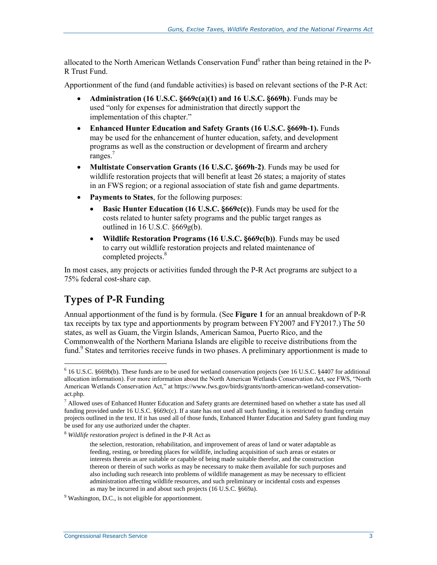allocated to the North American Wetlands Conservation Fund<sup>6</sup> rather than being retained in the P-R Trust Fund.

Apportionment of the fund (and fundable activities) is based on relevant sections of the P-R Act:

- **Administration (16 U.S.C. §669c(a)(1) and 16 U.S.C. §669h)**. Funds may be used "only for expenses for administration that directly support the implementation of this chapter."
- **Enhanced Hunter Education and Safety Grants (16 U.S.C. §669h-1).** Funds may be used for the enhancement of hunter education, safety, and development programs as well as the construction or development of firearm and archery ranges.<sup>7</sup>
- **Multistate Conservation Grants (16 U.S.C. §669h-2)**. Funds may be used for wildlife restoration projects that will benefit at least 26 states; a majority of states in an FWS region; or a regional association of state fish and game departments.
- **Payments to States**, for the following purposes:
	- **Basic Hunter Education (16 U.S.C. §669c(c))**. Funds may be used for the costs related to hunter safety programs and the public target ranges as outlined in 16 U.S.C. §669g(b).
	- **Wildlife Restoration Programs (16 U.S.C. §669c(b))**. Funds may be used to carry out wildlife restoration projects and related maintenance of completed projects. 8

In most cases, any projects or activities funded through the P-R Act programs are subject to a 75% federal cost-share cap.

#### **Types of P-R Funding**

 $\overline{a}$ 

Annual apportionment of the fund is by formula. (See **[Figure 1](#page-8-0)** for an annual breakdown of P-R tax receipts by tax type and apportionments by program between FY2007 and FY2017.) The 50 states, as well as Guam, the Virgin Islands, American Samoa, Puerto Rico, and the Commonwealth of the Northern Mariana Islands are eligible to receive distributions from the fund.<sup>9</sup> States and territories receive funds in two phases. A preliminary apportionment is made to

<sup>6</sup> 16 U.S.C. §669b(b). These funds are to be used for wetland conservation projects (see 16 U.S.C. §4407 for additional allocation information). For more information about the North American Wetlands Conservation Act, see FWS, "North American Wetlands Conservation Act," at https://www.fws.gov/birds/grants/north-american-wetland-conservationact.php.

<sup>&</sup>lt;sup>7</sup> Allowed uses of Enhanced Hunter Education and Safety grants are determined based on whether a state has used all funding provided under 16 U.S.C. §669c(c). If a state has not used all such funding, it is restricted to funding certain projects outlined in the text. If it has used all of those funds, Enhanced Hunter Education and Safety grant funding may be used for any use authorized under the chapter.

<sup>8</sup> *Wildlife restoration project* is defined in the P-R Act as

the selection, restoration, rehabilitation, and improvement of areas of land or water adaptable as feeding, resting, or breeding places for wildlife, including acquisition of such areas or estates or interests therein as are suitable or capable of being made suitable therefor, and the construction thereon or therein of such works as may be necessary to make them available for such purposes and also including such research into problems of wildlife management as may be necessary to efficient administration affecting wildlife resources, and such preliminary or incidental costs and expenses as may be incurred in and about such projects (16 U.S.C. §669a).

 $9$  Washington, D.C., is not eligible for apportionment.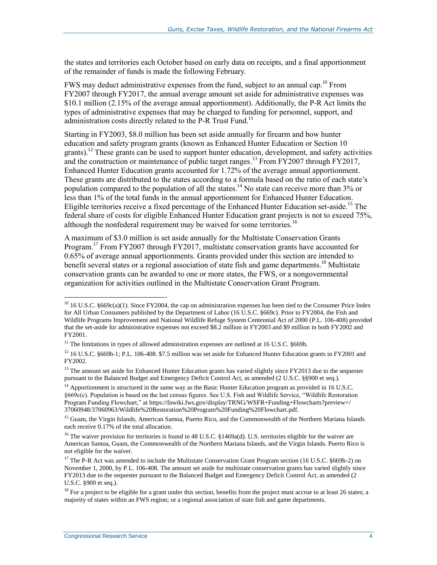the states and territories each October based on early data on receipts, and a final apportionment of the remainder of funds is made the following February.

FWS may deduct administrative expenses from the fund, subject to an annual cap.<sup>10</sup> From FY2007 through FY2017, the annual average amount set aside for administrative expenses was \$10.1 million (2.15% of the average annual apportionment). Additionally, the P-R Act limits the types of administrative expenses that may be charged to funding for personnel, support, and administration costs directly related to the P-R Trust Fund.<sup>11</sup>

Starting in FY2003, \$8.0 million has been set aside annually for firearm and bow hunter education and safety program grants (known as Enhanced Hunter Education or Section 10 grants).<sup>12</sup> These grants can be used to support hunter education, development, and safety activities and the construction or maintenance of public target ranges.<sup>13</sup> From FY2007 through FY2017, Enhanced Hunter Education grants accounted for 1.72% of the average annual apportionment. These grants are distributed to the states according to a formula based on the ratio of each state's population compared to the population of all the states.<sup>14</sup> No state can receive more than 3% or less than 1% of the total funds in the annual apportionment for Enhanced Hunter Education. Eligible territories receive a fixed percentage of the Enhanced Hunter Education set-aside.<sup>15</sup> The federal share of costs for eligible Enhanced Hunter Education grant projects is not to exceed 75%, although the nonfederal requirement may be waived for some territories.<sup>16</sup>

A maximum of \$3.0 million is set aside annually for the Multistate Conservation Grants Program.<sup>17</sup> From FY2007 through FY2017, multistate conservation grants have accounted for 0.65% of average annual apportionments. Grants provided under this section are intended to benefit several states or a regional association of state fish and game departments.<sup>18</sup> Multistate conservation grants can be awarded to one or more states, the FWS, or a nongovernmental organization for activities outlined in the Multistate Conservation Grant Program.

 $^{10}$  16 U.S.C. §669c(a)(1). Since FY2004, the cap on administration expenses has been tied to the Consumer Price Index for All Urban Consumers published by the Department of Labor (16 U.S.C. §669c). Prior to FY2004, the Fish and Wildlife Programs Improvement and National Wildlife Refuge System Centennial Act of 2000 (P.L. 106-408) provided that the set-aside for administrative expenses not exceed \$8.2 million in FY2003 and \$9 million in both FY2002 and FY2001.

 $11$  The limitations in types of allowed administration expenses are outlined at 16 U.S.C. §669h.

 $12$  16 U.S.C. §669h-1; P.L. 106-408. \$7.5 million was set aside for Enhanced Hunter Education grants in FY2001 and FY2002.

<sup>&</sup>lt;sup>13</sup> The amount set aside for Enhanced Hunter Education grants has varied slightly since FY2013 due to the sequester pursuant to the Balanced Budget and Emergency Deficit Control Act, as amended (2 U.S.C. §§900 et seq.).

<sup>&</sup>lt;sup>14</sup> Apportionment is structured in the same way as the Basic Hunter Education program as provided in 16 U.S.C. §669c(c). Population is based on the last census figures. See U.S. Fish and Wildlife Service, "Wildlife Restoration Program Funding Flowchart," at https://fawiki.fws.gov/display/TRNG/WSFR+Funding+Flowcharts?preview=/ 37060948/37060963/Wildlife%20Restoration%20Program%20Funding%20Flowchart.pdf.

<sup>&</sup>lt;sup>15</sup> Guam, the Virgin Islands, American Samoa, Puerto Rico, and the Commonwealth of the Northern Mariana Islands each receive 0.17% of the total allocation.

<sup>&</sup>lt;sup>16</sup> The waiver provision for territories is found in 48 U.S.C. §1469a(d). U.S. territories eligible for the waiver are American Samoa, Guam, the Commonwealth of the Northern Mariana Islands, and the Virgin Islands. Puerto Rico is not eligible for the waiver.

<sup>&</sup>lt;sup>17</sup> The P-R Act was amended to include the Multistate Conservation Grant Program section (16 U.S.C. §669h-2) on November 1, 2000, by P.L. 106-408. The amount set aside for multistate conservation grants has varied slightly since FY2013 due to the sequester pursuant to the Balanced Budget and Emergency Deficit Control Act, as amended (2 U.S.C. §900 et seq.).

 $18$  For a project to be eligible for a grant under this section, benefits from the project must accrue to at least 26 states; a majority of states within an FWS region; or a regional association of state fish and game departments.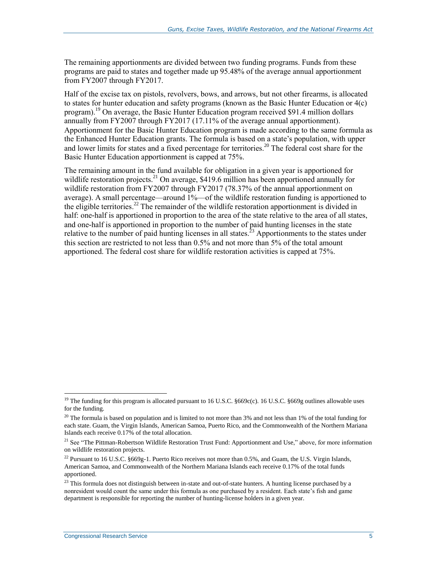The remaining apportionments are divided between two funding programs. Funds from these programs are paid to states and together made up 95.48% of the average annual apportionment from FY2007 through FY2017.

Half of the excise tax on pistols, revolvers, bows, and arrows, but not other firearms, is allocated to states for hunter education and safety programs (known as the Basic Hunter Education or 4(c) program).<sup>19</sup> On average, the Basic Hunter Education program received \$91.4 million dollars annually from FY2007 through FY2017 (17.11% of the average annual apportionment). Apportionment for the Basic Hunter Education program is made according to the same formula as the Enhanced Hunter Education grants. The formula is based on a state's population, with upper and lower limits for states and a fixed percentage for territories.<sup>20</sup> The federal cost share for the Basic Hunter Education apportionment is capped at 75%.

The remaining amount in the fund available for obligation in a given year is apportioned for wildlife restoration projects.<sup>21</sup> On average, \$419.6 million has been apportioned annually for wildlife restoration from FY2007 through FY2017 (78.37% of the annual apportionment on average). A small percentage—around 1%—of the wildlife restoration funding is apportioned to the eligible territories.<sup>22</sup> The remainder of the wildlife restoration apportionment is divided in half: one-half is apportioned in proportion to the area of the state relative to the area of all states, and one-half is apportioned in proportion to the number of paid hunting licenses in the state relative to the number of paid hunting licenses in all states.<sup>23</sup> Apportionments to the states under this section are restricted to not less than 0.5% and not more than 5% of the total amount apportioned. The federal cost share for wildlife restoration activities is capped at 75%.

<sup>&</sup>lt;sup>19</sup> The funding for this program is allocated pursuant to 16 U.S.C.  $§669c(c)$ . 16 U.S.C.  $§669g$  outlines allowable uses for the funding.

 $20$  The formula is based on population and is limited to not more than 3% and not less than 1% of the total funding for each state. Guam, the Virgin Islands, American Samoa, Puerto Rico, and the Commonwealth of the Northern Mariana Islands each receive 0.17% of the total allocation.

<sup>&</sup>lt;sup>21</sup> See ["The Pittman-Robertson Wildlife Restoration Trust Fund: Apportionment and Use,](#page-4-0)" above, for more information on wildlife restoration projects.

<sup>&</sup>lt;sup>22</sup> Pursuant to 16 U.S.C. §669g-1. Puerto Rico receives not more than 0.5%, and Guam, the U.S. Virgin Islands, American Samoa, and Commonwealth of the Northern Mariana Islands each receive 0.17% of the total funds apportioned.

 $23$  This formula does not distinguish between in-state and out-of-state hunters. A hunting license purchased by a nonresident would count the same under this formula as one purchased by a resident. Each state's fish and game department is responsible for reporting the number of hunting-license holders in a given year.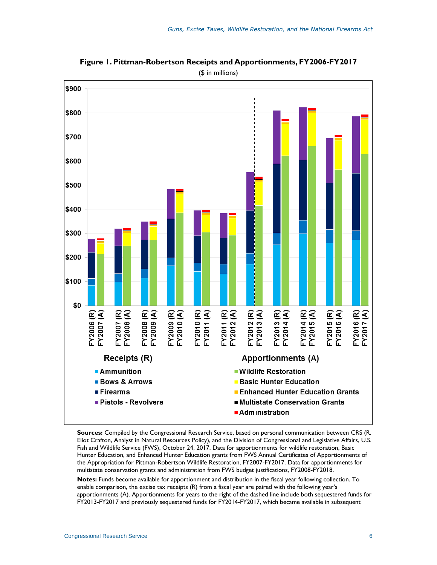

<span id="page-8-0"></span>**Figure 1. Pittman-Robertson Receipts and Apportionments, FY2006-FY2017** (\$ in millions)

**Sources:** Compiled by the Congressional Research Service, based on personal communication between CRS (R. Eliot Crafton, Analyst in Natural Resources Policy), and the Division of Congressional and Legislative Affairs, U.S. Fish and Wildlife Service (FWS), October 24, 2017. Data for apportionments for wildlife restoration, Basic Hunter Education, and Enhanced Hunter Education grants from FWS Annual Certificates of Apportionments of the Appropriation for Pittman-Robertson Wildlife Restoration, FY2007-FY2017. Data for apportionments for multistate conservation grants and administration from FWS budget justifications, FY2008-FY2018.

**Notes:** Funds become available for apportionment and distribution in the fiscal year following collection. To enable comparison, the excise tax receipts (R) from a fiscal year are paired with the following year's apportionments (A). Apportionments for years to the right of the dashed line include both sequestered funds for FY2013-FY2017 and previously sequestered funds for FY2014-FY2017, which became available in subsequent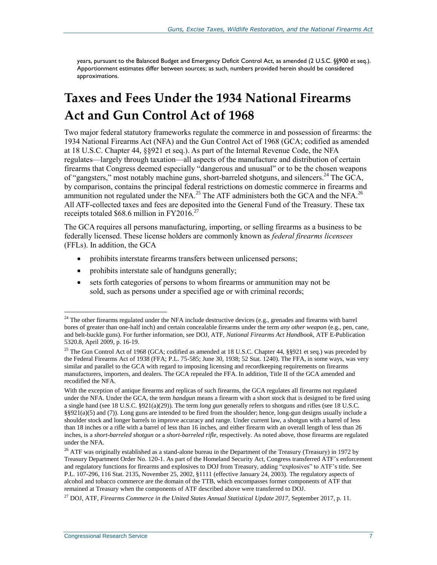years, pursuant to the Balanced Budget and Emergency Deficit Control Act, as amended (2 U.S.C. §§900 et seq.). Apportionment estimates differ between sources; as such, numbers provided herein should be considered approximations.

# <span id="page-9-0"></span>**Taxes and Fees Under the 1934 National Firearms Act and Gun Control Act of 1968**

Two major federal statutory frameworks regulate the commerce in and possession of firearms: the 1934 National Firearms Act (NFA) and the Gun Control Act of 1968 (GCA; codified as amended at 18 U.S.C. Chapter 44, §§921 et seq.). As part of the Internal Revenue Code, the NFA regulates—largely through taxation—all aspects of the manufacture and distribution of certain firearms that Congress deemed especially "dangerous and unusual" or to be the chosen weapons of "gangsters," most notably machine guns, short-barreled shotguns, and silencers.<sup>24</sup> The GCA, by comparison, contains the principal federal restrictions on domestic commerce in firearms and ammunition not regulated under the NFA.<sup>25</sup> The ATF administers both the GCA and the NFA.<sup>26</sup> All ATF-collected taxes and fees are deposited into the General Fund of the Treasury. These tax receipts totaled \$68.6 million in FY2016.<sup>27</sup>

The GCA requires all persons manufacturing, importing, or selling firearms as a business to be federally licensed. These license holders are commonly known as *federal firearms licensees* (FFLs). In addition, the GCA

- prohibits interstate firearms transfers between unlicensed persons;
- prohibits interstate sale of handguns generally;
- sets forth categories of persons to whom firearms or ammunition may not be sold, such as persons under a specified age or with criminal records;

 $24$  The other firearms regulated under the NFA include destructive devices (e.g., grenades and firearms with barrel bores of greater than one-half inch) and certain concealable firearms under the term *any other weapon* (e.g., pen, cane, and belt-buckle guns). For further information, see DOJ, ATF, *National Firearms Act Handbook*, ATF E-Publication 5320.8, April 2009, p. 16-19.

<sup>&</sup>lt;sup>25</sup> The Gun Control Act of 1968 (GCA; codified as amended at 18 U.S.C. Chapter 44, §§921 et seq.) was preceded by the Federal Firearms Act of 1938 (FFA; P.L. 75-585; June 30, 1938; 52 Stat. 1240). The FFA, in some ways, was very similar and parallel to the GCA with regard to imposing licensing and recordkeeping requirements on firearms manufacturers, importers, and dealers. The GCA repealed the FFA. In addition, Title II of the GCA amended and recodified the NFA.

With the exception of antique firearms and replicas of such firearms, the GCA regulates all firearms not regulated under the NFA. Under the GCA, the term *handgun* means a firearm with a short stock that is designed to be fired using a single hand (see 18 U.S.C. §921(a)(29)). The term *long gun* generally refers to shotguns and rifles (see 18 U.S.C. §§921(a)(5) and (7)). Long guns are intended to be fired from the shoulder; hence, long-gun designs usually include a shoulder stock and longer barrels to improve accuracy and range. Under current law, a shotgun with a barrel of less than 18 inches or a rifle with a barrel of less than 16 inches, and either firearm with an overall length of less than 26 inches, is a *short-barreled shotgun* or a *short-barreled rifle*, respectively. As noted above, those firearms are regulated under the NFA.

<sup>&</sup>lt;sup>26</sup> ATF was originally established as a stand-alone bureau in the Department of the Treasury (Treasury) in 1972 by Treasury Department Order No. 120-1. As part of the Homeland Security Act, Congress transferred ATF's enforcement and regulatory functions for firearms and explosives to DOJ from Treasury, adding "explosives" to ATF's title. See P.L. 107-296, 116 Stat. 2135, November 25, 2002, §1111 (effective January 24, 2003). The regulatory aspects of alcohol and tobacco commerce are the domain of the TTB, which encompasses former components of ATF that remained at Treasury when the components of ATF described above were transferred to DOJ.

<sup>27</sup> DOJ, ATF, *Firearms Commerce in the United States Annual Statistical Update 2017*, September 2017, p. 11.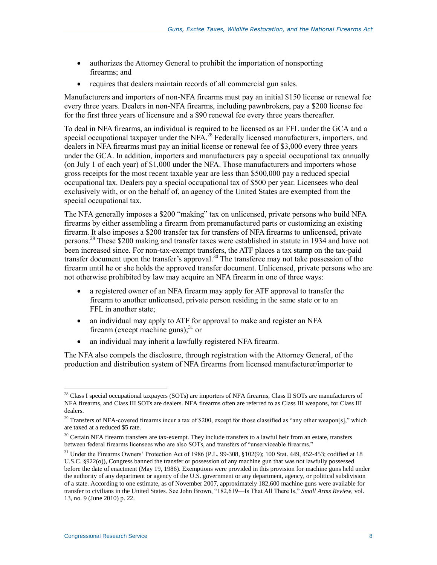- authorizes the Attorney General to prohibit the importation of nonsporting firearms; and
- requires that dealers maintain records of all commercial gun sales.

Manufacturers and importers of non-NFA firearms must pay an initial \$150 license or renewal fee every three years. Dealers in non-NFA firearms, including pawnbrokers, pay a \$200 license fee for the first three years of licensure and a \$90 renewal fee every three years thereafter.

To deal in NFA firearms, an individual is required to be licensed as an FFL under the GCA and a special occupational taxpayer under the NFA.<sup>28</sup> Federally licensed manufacturers, importers, and dealers in NFA firearms must pay an initial license or renewal fee of \$3,000 every three years under the GCA. In addition, importers and manufacturers pay a special occupational tax annually (on July 1 of each year) of \$1,000 under the NFA. Those manufacturers and importers whose gross receipts for the most recent taxable year are less than \$500,000 pay a reduced special occupational tax. Dealers pay a special occupational tax of \$500 per year. Licensees who deal exclusively with, or on the behalf of, an agency of the United States are exempted from the special occupational tax.

The NFA generally imposes a \$200 "making" tax on unlicensed, private persons who build NFA firearms by either assembling a firearm from premanufactured parts or customizing an existing firearm. It also imposes a \$200 transfer tax for transfers of NFA firearms to unlicensed, private persons.<sup>29</sup> These \$200 making and transfer taxes were established in statute in 1934 and have not been increased since. For non-tax-exempt transfers, the ATF places a tax stamp on the tax-paid transfer document upon the transfer's approval.<sup>30</sup> The transferee may not take possession of the firearm until he or she holds the approved transfer document. Unlicensed, private persons who are not otherwise prohibited by law may acquire an NFA firearm in one of three ways:

- a registered owner of an NFA firearm may apply for ATF approval to transfer the firearm to another unlicensed, private person residing in the same state or to an FFL in another state;
- an individual may apply to ATF for approval to make and register an NFA firearm (except machine guns); $^{31}$  or
- an individual may inherit a lawfully registered NFA firearm.

The NFA also compels the disclosure, through registration with the Attorney General, of the production and distribution system of NFA firearms from licensed manufacturer/importer to

<sup>&</sup>lt;sup>28</sup> Class I special occupational taxpayers (SOTs) are importers of NFA firearms, Class II SOTs are manufacturers of NFA firearms, and Class III SOTs are dealers. NFA firearms often are referred to as Class III weapons, for Class III dealers.

 $^{29}$  Transfers of NFA-covered firearms incur a tax of \$200, except for those classified as "any other weapon[s]," which are taxed at a reduced \$5 rate.

 $30$  Certain NFA firearm transfers are tax-exempt. They include transfers to a lawful heir from an estate, transfers between federal firearms licensees who are also SOTs, and transfers of "unserviceable firearms."

<sup>&</sup>lt;sup>31</sup> Under the Firearms Owners' Protection Act of 1986 (P.L. 99-308, §102(9); 100 Stat. 449, 452-453; codified at 18 U.S.C. §922(o)), Congress banned the transfer or possession of any machine gun that was not lawfully possessed before the date of enactment (May 19, 1986). Exemptions were provided in this provision for machine guns held under the authority of any department or agency of the U.S. government or any department, agency, or political subdivision of a state. According to one estimate, as of November 2007, approximately 182,600 machine guns were available for transfer to civilians in the United States. See John Brown, "182,619—Is That All There Is," *Small Arms Review*, vol. 13, no. 9 (June 2010) p. 22.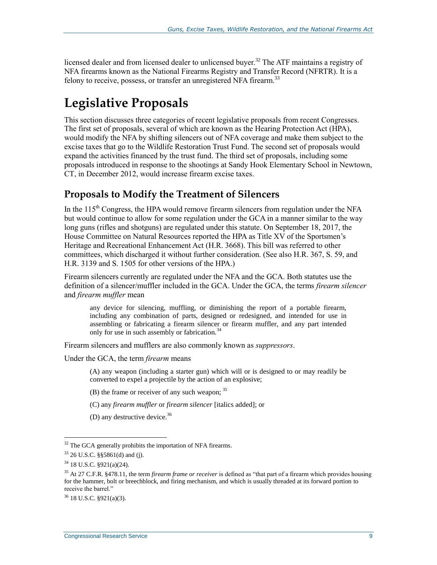licensed dealer and from licensed dealer to unlicensed buyer.<sup>32</sup> The ATF maintains a registry of NFA firearms known as the National Firearms Registry and Transfer Record (NFRTR). It is a felony to receive, possess, or transfer an unregistered NFA firearm.<sup>33</sup>

# **Legislative Proposals**

This section discusses three categories of recent legislative proposals from recent Congresses. The first set of proposals, several of which are known as the Hearing Protection Act (HPA), would modify the NFA by shifting silencers out of NFA coverage and make them subject to the excise taxes that go to the Wildlife Restoration Trust Fund. The second set of proposals would expand the activities financed by the trust fund. The third set of proposals, including some proposals introduced in response to the shootings at Sandy Hook Elementary School in Newtown, CT, in December 2012, would increase firearm excise taxes.

#### <span id="page-11-0"></span>**Proposals to Modify the Treatment of Silencers**

In the  $115<sup>th</sup>$  Congress, the HPA would remove firearm silencers from regulation under the NFA but would continue to allow for some regulation under the GCA in a manner similar to the way long guns (rifles and shotguns) are regulated under this statute. On September 18, 2017, the House Committee on Natural Resources reported the HPA as Title XV of the Sportsmen's Heritage and Recreational Enhancement Act (H.R. 3668). This bill was referred to other committees, which discharged it without further consideration. (See also [H.R. 367,](http://www.congress.gov/cgi-lis/bdquery/z?d115:H.R.367:) S. 59, and [H.R. 3139](http://www.congress.gov/cgi-lis/bdquery/z?d115:H.R.3139:) and S. 1505 for other versions of the HPA.)

Firearm silencers currently are regulated under the NFA and the GCA. Both statutes use the definition of a silencer/muffler included in the GCA. Under the GCA, the terms *firearm silencer* and *firearm muffler* mean

any device for silencing, muffling, or diminishing the report of a portable firearm, including any combination of parts, designed or redesigned, and intended for use in assembling or fabricating a firearm silencer or firearm muffler, and any part intended only for use in such assembly or fabrication.<sup>3</sup>

Firearm silencers and mufflers are also commonly known as *suppressors*.

Under the GCA, the term *firearm* means

(A) any weapon (including a starter gun) which will or is designed to or may readily be converted to expel a projectile by the action of an explosive;

- $(B)$  the frame or receiver of any such weapon;  $35$
- (C) any *firearm muffler* or *firearm silencer* [italics added]; or
- (D) any destructive device.  $36$

 $32$  The GCA generally prohibits the importation of NFA firearms.

 $33$  26 U.S.C. §§5861(d) and (j).

 $34$  18 U.S.C.  $\frac{$4}{18}$  (24).

<sup>35</sup> At 27 C.F.R. §478.11, the term *firearm frame or receiver* is defined as "that part of a firearm which provides housing for the hammer, bolt or breechblock, and firing mechanism, and which is usually threaded at its forward portion to receive the barrel."

<sup>36</sup> 18 U.S.C. §921(a)(3).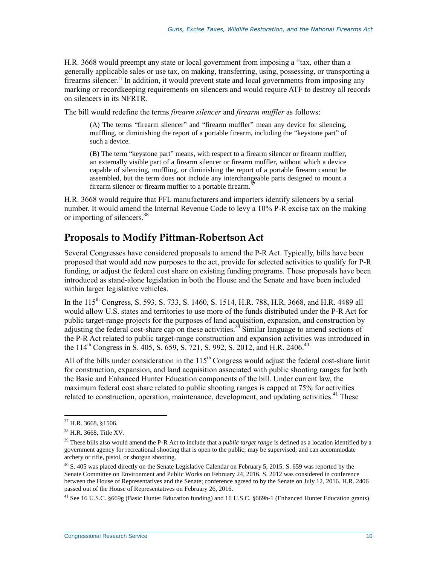[H.R. 3668](http://www.congress.gov/cgi-lis/bdquery/z?d115:H.R.3668:) would preempt any state or local government from imposing a "tax, other than a generally applicable sales or use tax, on making, transferring, using, possessing, or transporting a firearms silencer." In addition, it would prevent state and local governments from imposing any marking or recordkeeping requirements on silencers and would require ATF to destroy all records on silencers in its NFRTR.

The bill would redefine the terms *firearm silencer* and *firearm muffler* as follows:

(A) The terms "firearm silencer" and "firearm muffler" mean any device for silencing, muffling, or diminishing the report of a portable firearm, including the "keystone part" of such a device.

(B) The term "keystone part" means, with respect to a firearm silencer or firearm muffler, an externally visible part of a firearm silencer or firearm muffler, without which a device capable of silencing, muffling, or diminishing the report of a portable firearm cannot be assembled, but the term does not include any interchangeable parts designed to mount a firearm silencer or firearm muffler to a portable firearm.<sup>3</sup>

H.R. 3668 would require that FFL manufacturers and importers identify silencers by a serial number. It would amend the Internal Revenue Code to levy a 10% P-R excise tax on the making or importing of silencers.<sup>38</sup>

#### **Proposals to Modify Pittman-Robertson Act**

Several Congresses have considered proposals to amend the P-R Act. Typically, bills have been proposed that would add new purposes to the act, provide for selected activities to qualify for P-R funding, or adjust the federal cost share on existing funding programs. These proposals have been introduced as stand-alone legislation in both the House and the Senate and have been included within larger legislative vehicles.

In the 115<sup>th</sup> Congress, [S. 593,](http://www.congress.gov/cgi-lis/bdquery/z?d115:S.593:) S. 733, [S. 1460,](http://www.congress.gov/cgi-lis/bdquery/z?d115:S.1460:) S. 1514, [H.R. 788,](http://www.congress.gov/cgi-lis/bdquery/z?d115:H.R.788:) H.R. 3668, and [H.R. 4489](http://www.congress.gov/cgi-lis/bdquery/z?d115:H.R.4489:) all would allow U.S. states and territories to use more of the funds distributed under the P-R Act for public target-range projects for the purposes of land acquisition, expansion, and construction by adjusting the federal cost-share cap on these activities.<sup>39</sup> Similar language to amend sections of the P-R Act related to public target-range construction and expansion activities was introduced in the 114<sup>th</sup> Congress in S. 405, [S. 659,](http://www.congress.gov/cgi-lis/bdquery/z?d114:S.659:) S. 721, [S. 992,](http://www.congress.gov/cgi-lis/bdquery/z?d114:S.992:) S. 2012, an[d H.R. 2406.](http://www.congress.gov/cgi-lis/bdquery/z?d114:H.R.2406:)<sup>40</sup>

All of the bills under consideration in the  $115<sup>th</sup>$  Congress would adjust the federal cost-share limit for construction, expansion, and land acquisition associated with public shooting ranges for both the Basic and Enhanced Hunter Education components of the bill. Under current law, the maximum federal cost share related to public shooting ranges is capped at 75% for activities related to construction, operation, maintenance, development, and updating activities.<sup>41</sup> These

 $\overline{a}$ 

<sup>41</sup> See 16 U.S.C. §669g (Basic Hunter Education funding) and 16 U.S.C. §669h-1 (Enhanced Hunter Education grants).

<sup>37</sup> H.R. 3668, §1506.

<sup>38</sup> H.R. 3668, Title XV.

<sup>39</sup> These bills also would amend the P-R Act to include that a *public target range* is defined as a location identified by a government agency for recreational shooting that is open to the public; may be supervised; and can accommodate archery or rifle, pistol, or shotgun shooting.

<sup>&</sup>lt;sup>40</sup> S. 405 was placed directly on the Senate Legislative Calendar on February 5, 2015. S. 659 was reported by the Senate Committee on Environment and Public Works on February 24, 2016. S. 2012 was considered in conference between the House of Representatives and the Senate; conference agreed to by the Senate on July 12, 2016. H.R. 2406 passed out of the House of Representatives on February 26, 2016.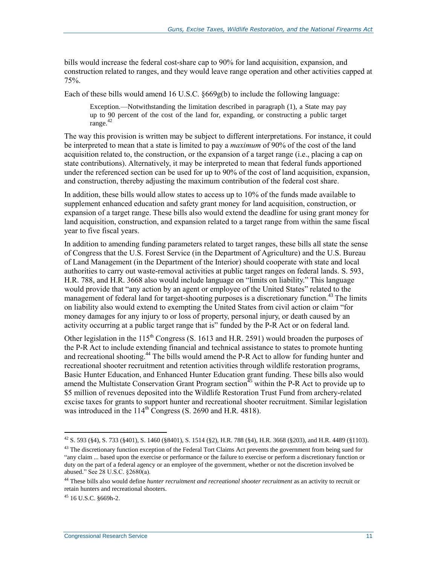bills would increase the federal cost-share cap to 90% for land acquisition, expansion, and construction related to ranges, and they would leave range operation and other activities capped at 75%.

Each of these bills would amend 16 U.S.C.  $\S 669g(b)$  to include the following language:

Exception.—Notwithstanding the limitation described in paragraph (1), a State may pay up to 90 percent of the cost of the land for, expanding, or constructing a public target range.<sup>42</sup>

The way this provision is written may be subject to different interpretations. For instance, it could be interpreted to mean that a state is limited to pay a *maximum* of 90% of the cost of the land acquisition related to, the construction, or the expansion of a target range (i.e., placing a cap on state contributions). Alternatively, it may be interpreted to mean that federal funds apportioned under the referenced section can be used for up to 90% of the cost of land acquisition, expansion, and construction, thereby adjusting the maximum contribution of the federal cost share.

In addition, these bills would allow states to access up to 10% of the funds made available to supplement enhanced education and safety grant money for land acquisition, construction, or expansion of a target range. These bills also would extend the deadline for using grant money for land acquisition, construction, and expansion related to a target range from within the same fiscal year to five fiscal years.

In addition to amending funding parameters related to target ranges, these bills all state the sense of Congress that the U.S. Forest Service (in the Department of Agriculture) and the U.S. Bureau of Land Management (in the Department of the Interior) should cooperate with state and local authorities to carry out waste-removal activities at public target ranges on federal lands. S. 593, [H.R. 788,](http://www.congress.gov/cgi-lis/bdquery/z?d115:H.R.788:) and H.R. 3668 also would include language on "limits on liability." This language would provide that "any action by an agent or employee of the United States" related to the management of federal land for target-shooting purposes is a discretionary function.<sup>43</sup> The limits on liability also would extend to exempting the United States from civil action or claim "for money damages for any injury to or loss of property, personal injury, or death caused by an activity occurring at a public target range that is" funded by the P-R Act or on federal land.

Other legislation in the  $115<sup>th</sup>$  Congress [\(S. 1613](http://www.congress.gov/cgi-lis/bdquery/z?d115:S.1613:) and H.R. 2591) would broaden the purposes of the P-R Act to include extending financial and technical assistance to states to promote hunting and recreational shooting.<sup>44</sup> The bills would amend the P-R Act to allow for funding hunter and recreational shooter recruitment and retention activities through wildlife restoration programs, Basic Hunter Education, and Enhanced Hunter Education grant funding. These bills also would amend the Multistate Conservation Grant Program section<sup> $45$ </sup> within the P-R Act to provide up to \$5 million of revenues deposited into the Wildlife Restoration Trust Fund from archery-related excise taxes for grants to support hunter and recreational shooter recruitment. Similar legislation was introduced in the  $114<sup>th</sup>$  Congress [\(S. 2690](http://www.congress.gov/cgi-lis/bdquery/z?d114:S.2690:) and H.R. 4818).

 $^{42}$  S. 593 (§4), S. 733 (§401), S. 1460 (§8401), S. 1514 (§2), H.R. 788 (§4), H.R. 3668 (§203), and H.R. 4489 (§1103).

<sup>&</sup>lt;sup>43</sup> The discretionary function exception of the Federal Tort Claims Act prevents the government from being sued for "any claim ... based upon the exercise or performance or the failure to exercise or perform a discretionary function or duty on the part of a federal agency or an employee of the government, whether or not the discretion involved be abused." See 28 U.S.C. §2680(a).

<sup>44</sup> These bills also would define *hunter recruitment and recreational shooter recruitment* as an activity to recruit or retain hunters and recreational shooters.

<sup>45</sup> 16 U.S.C. §669h-2.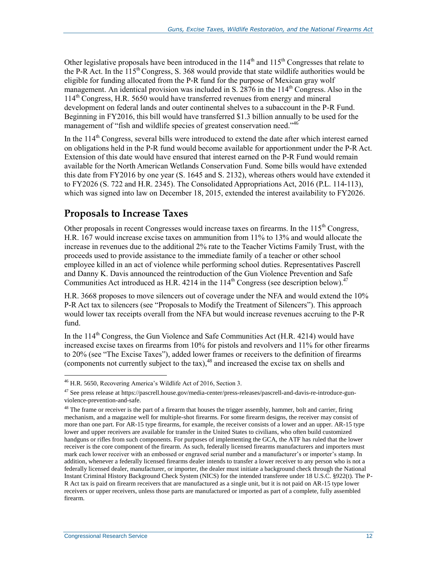Other legislative proposals have been introduced in the  $114<sup>th</sup>$  and  $115<sup>th</sup>$  Congresses that relate to the P-R Act. In the  $115^{th}$  Congress[, S. 368](http://www.congress.gov/cgi-lis/bdquery/z?d115:S.368:) would provide that state wildlife authorities would be eligible for funding allocated from the P-R fund for the purpose of Mexican gray wolf management. An identical provision was included in S. 2876 in the  $114<sup>th</sup>$  Congress. Also in the  $114<sup>th</sup>$  Congress, [H.R. 5650](http://www.congress.gov/cgi-lis/bdquery/z?d114:H.R.5650:) would have transferred revenues from energy and mineral development on federal lands and outer continental shelves to a subaccount in the P-R Fund. Beginning in FY2016, this bill would have transferred \$1.3 billion annually to be used for the management of "fish and wildlife species of greatest conservation need."<sup>46</sup>

In the 114<sup>th</sup> Congress, several bills were introduced to extend the date after which interest earned on obligations held in the P-R fund would become available for apportionment under the P-R Act. Extension of this date would have ensured that interest earned on the P-R Fund would remain available for the North American Wetlands Conservation Fund. Some bills would have extended this date from FY2016 by one year (S. 1645 and [S. 2132\)](http://www.congress.gov/cgi-lis/bdquery/z?d114:S.2132:), whereas others would have extended it to FY2026 (S. 722 and [H.R. 2345\)](http://www.congress.gov/cgi-lis/bdquery/z?d114:H.R.2345:). The Consolidated Appropriations Act, 2016 (P.L. 114-113), which was signed into law on December 18, 2015, extended the interest availability to FY2026.

#### **Proposals to Increase Taxes**

Other proposals in recent Congresses would increase taxes on firearms. In the  $115<sup>th</sup>$  Congress, [H.R. 167](http://www.congress.gov/cgi-lis/bdquery/z?d115:H.R.167:) would increase excise taxes on ammunition from 11% to 13% and would allocate the increase in revenues due to the additional 2% rate to the Teacher Victims Family Trust, with the proceeds used to provide assistance to the immediate family of a teacher or other school employee killed in an act of violence while performing school duties. Representatives Pascrell and Danny K. Davis announced the reintroduction of the Gun Violence Prevention and Safe Communities Act introduced as H.R. 4214 in the  $114<sup>th</sup>$  Congress (see description below).<sup>47</sup>

[H.R. 3668](http://www.congress.gov/cgi-lis/bdquery/z?d115:H.R.3668:) proposes to move silencers out of coverage under the NFA and would extend the 10% P-R Act tax to silencers (see ["Proposals to Modify the Treatment of Silencers"](#page-11-0)). This approach would lower tax receipts overall from the NFA but would increase revenues accruing to the P-R fund.

In the  $114<sup>th</sup>$  Congress, the Gun Violence and Safe Communities Act (H.R. 4214) would have increased excise taxes on firearms from 10% for pistols and revolvers and 11% for other firearms to 20% (see ["The Excise Taxes"](#page-3-0)), added lower frames or receivers to the definition of firearms (components not currently subject to the tax), <sup>48</sup> and increased the excise tax on shells and

 $\overline{a}$ <sup>46</sup> H.R. 5650, Recovering America's Wildlife Act of 2016, Section 3.

<sup>47</sup> See press release at https://pascrell.house.gov/media-center/press-releases/pascrell-and-davis-re-introduce-gunviolence-prevention-and-safe.

<sup>&</sup>lt;sup>48</sup> The frame or receiver is the part of a firearm that houses the trigger assembly, hammer, bolt and carrier, firing mechanism, and a magazine well for multiple-shot firearms. For some firearm designs, the receiver may consist of more than one part. For AR-15 type firearms, for example, the receiver consists of a lower and an upper. AR-15 type lower and upper receivers are available for transfer in the United States to civilians, who often build customized handguns or rifles from such components. For purposes of implementing the GCA, the ATF has ruled that the lower receiver is the core component of the firearm. As such, federally licensed firearms manufacturers and importers must mark each lower receiver with an embossed or engraved serial number and a manufacturer's or importer's stamp. In addition, whenever a federally licensed firearms dealer intends to transfer a lower receiver to any person who is not a federally licensed dealer, manufacturer, or importer, the dealer must initiate a background check through the National Instant Criminal History Background Check System (NICS) for the intended transferee under 18 U.S.C. §922(t). The P-R Act tax is paid on firearm receivers that are manufactured as a single unit, but it is not paid on AR-15 type lower receivers or upper receivers, unless those parts are manufactured or imported as part of a complete, fully assembled firearm.